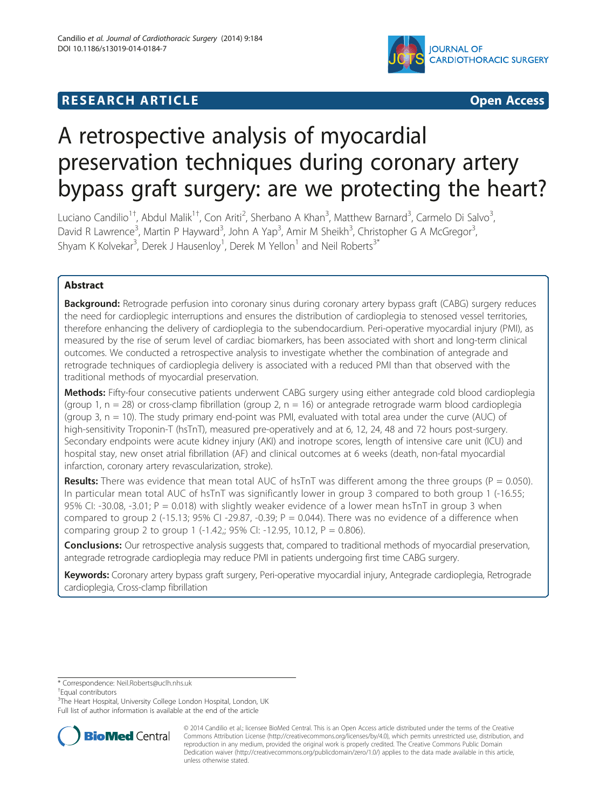## **RESEARCH ARTICLE Example 2014 12:30 THE Open Access**



# A retrospective analysis of myocardial preservation techniques during coronary artery bypass graft surgery: are we protecting the heart?

Luciano Candilio<sup>1†</sup>, Abdul Malik<sup>1†</sup>, Con Ariti<sup>2</sup>, Sherbano A Khan<sup>3</sup>, Matthew Barnard<sup>3</sup>, Carmelo Di Salvo<sup>3</sup> , David R Lawrence<sup>3</sup>, Martin P Hayward<sup>3</sup>, John A Yap<sup>3</sup>, Amir M Sheikh<sup>3</sup>, Christopher G A McGregor<sup>3</sup> , Shyam K Kolvekar<sup>3</sup>, Derek J Hausenloy<sup>1</sup>, Derek M Yellon<sup>1</sup> and Neil Roberts<sup>3\*</sup>

## Abstract

Background: Retrograde perfusion into coronary sinus during coronary artery bypass graft (CABG) surgery reduces the need for cardioplegic interruptions and ensures the distribution of cardioplegia to stenosed vessel territories, therefore enhancing the delivery of cardioplegia to the subendocardium. Peri-operative myocardial injury (PMI), as measured by the rise of serum level of cardiac biomarkers, has been associated with short and long-term clinical outcomes. We conducted a retrospective analysis to investigate whether the combination of antegrade and retrograde techniques of cardioplegia delivery is associated with a reduced PMI than that observed with the traditional methods of myocardial preservation.

Methods: Fifty-four consecutive patients underwent CABG surgery using either antegrade cold blood cardioplegia (group 1,  $n = 28$ ) or cross-clamp fibrillation (group 2,  $n = 16$ ) or antegrade retrograde warm blood cardioplegia (group 3,  $n = 10$ ). The study primary end-point was PMI, evaluated with total area under the curve (AUC) of high-sensitivity Troponin-T (hsTnT), measured pre-operatively and at 6, 12, 24, 48 and 72 hours post-surgery. Secondary endpoints were acute kidney injury (AKI) and inotrope scores, length of intensive care unit (ICU) and hospital stay, new onset atrial fibrillation (AF) and clinical outcomes at 6 weeks (death, non-fatal myocardial infarction, coronary artery revascularization, stroke).

**Results:** There was evidence that mean total AUC of hsTnT was different among the three groups ( $P = 0.050$ ). In particular mean total AUC of hsTnT was significantly lower in group 3 compared to both group 1 (-16.55; 95% CI: -30.08, -3.01; P = 0.018) with slightly weaker evidence of a lower mean hsTnT in group 3 when compared to group 2 (-15.13; 95% CI -29.87, -0.39;  $P = 0.044$ ). There was no evidence of a difference when comparing group 2 to group 1 (-1.42; 95% CI: -12.95, 10.12,  $P = 0.806$ ).

**Conclusions:** Our retrospective analysis suggests that, compared to traditional methods of myocardial preservation, antegrade retrograde cardioplegia may reduce PMI in patients undergoing first time CABG surgery.

Keywords: Coronary artery bypass graft surgery, Peri-operative myocardial injury, Antegrade cardioplegia, Retrograde cardioplegia, Cross-clamp fibrillation

\* Correspondence: [Neil.Roberts@uclh.nhs.uk](mailto:Neil.Roberts@uclh.nhs.uk) †

Equal contributors

<sup>3</sup>The Heart Hospital, University College London Hospital, London, UK Full list of author information is available at the end of the article



© 2014 Candilio et al.; licensee BioMed Central. This is an Open Access article distributed under the terms of the Creative Commons Attribution License [\(http://creativecommons.org/licenses/by/4.0\)](http://creativecommons.org/licenses/by/4.0), which permits unrestricted use, distribution, and reproduction in any medium, provided the original work is properly credited. The Creative Commons Public Domain Dedication waiver [\(http://creativecommons.org/publicdomain/zero/1.0/](http://creativecommons.org/publicdomain/zero/1.0/)) applies to the data made available in this article, unless otherwise stated.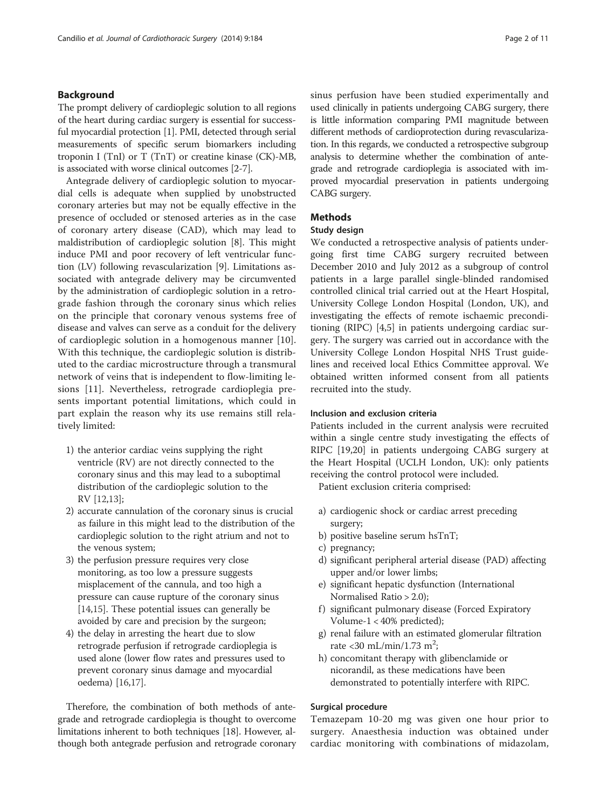#### Background

The prompt delivery of cardioplegic solution to all regions of the heart during cardiac surgery is essential for successful myocardial protection [[1](#page-9-0)]. PMI, detected through serial measurements of specific serum biomarkers including troponin I (TnI) or T (TnT) or creatine kinase (CK)-MB, is associated with worse clinical outcomes [[2-7\]](#page-9-0).

Antegrade delivery of cardioplegic solution to myocardial cells is adequate when supplied by unobstructed coronary arteries but may not be equally effective in the presence of occluded or stenosed arteries as in the case of coronary artery disease (CAD), which may lead to maldistribution of cardioplegic solution [[8\]](#page-9-0). This might induce PMI and poor recovery of left ventricular function (LV) following revascularization [[9\]](#page-9-0). Limitations associated with antegrade delivery may be circumvented by the administration of cardioplegic solution in a retrograde fashion through the coronary sinus which relies on the principle that coronary venous systems free of disease and valves can serve as a conduit for the delivery of cardioplegic solution in a homogenous manner [[10](#page-9-0)]. With this technique, the cardioplegic solution is distributed to the cardiac microstructure through a transmural network of veins that is independent to flow-limiting lesions [[11\]](#page-9-0). Nevertheless, retrograde cardioplegia presents important potential limitations, which could in part explain the reason why its use remains still relatively limited:

- 1) the anterior cardiac veins supplying the right ventricle (RV) are not directly connected to the coronary sinus and this may lead to a suboptimal distribution of the cardioplegic solution to the RV [[12,13](#page-9-0)];
- 2) accurate cannulation of the coronary sinus is crucial as failure in this might lead to the distribution of the cardioplegic solution to the right atrium and not to the venous system;
- 3) the perfusion pressure requires very close monitoring, as too low a pressure suggests misplacement of the cannula, and too high a pressure can cause rupture of the coronary sinus [\[14,15\]](#page-9-0). These potential issues can generally be avoided by care and precision by the surgeon;
- 4) the delay in arresting the heart due to slow retrograde perfusion if retrograde cardioplegia is used alone (lower flow rates and pressures used to prevent coronary sinus damage and myocardial oedema) [[16,17](#page-9-0)].

Therefore, the combination of both methods of antegrade and retrograde cardioplegia is thought to overcome limitations inherent to both techniques [[18](#page-9-0)]. However, although both antegrade perfusion and retrograde coronary sinus perfusion have been studied experimentally and used clinically in patients undergoing CABG surgery, there is little information comparing PMI magnitude between different methods of cardioprotection during revascularization. In this regards, we conducted a retrospective subgroup analysis to determine whether the combination of antegrade and retrograde cardioplegia is associated with improved myocardial preservation in patients undergoing CABG surgery.

#### **Methods**

### Study design

We conducted a retrospective analysis of patients undergoing first time CABG surgery recruited between December 2010 and July 2012 as a subgroup of control patients in a large parallel single-blinded randomised controlled clinical trial carried out at the Heart Hospital, University College London Hospital (London, UK), and investigating the effects of remote ischaemic preconditioning (RIPC) [\[4](#page-9-0),[5](#page-9-0)] in patients undergoing cardiac surgery. The surgery was carried out in accordance with the University College London Hospital NHS Trust guidelines and received local Ethics Committee approval. We obtained written informed consent from all patients recruited into the study.

#### Inclusion and exclusion criteria

Patients included in the current analysis were recruited within a single centre study investigating the effects of RIPC [\[19,20\]](#page-9-0) in patients undergoing CABG surgery at the Heart Hospital (UCLH London, UK): only patients receiving the control protocol were included.

Patient exclusion criteria comprised:

- a) cardiogenic shock or cardiac arrest preceding surgery;
- b) positive baseline serum hsTnT;
- c) pregnancy;
- d) significant peripheral arterial disease (PAD) affecting upper and/or lower limbs;
- e) significant hepatic dysfunction (International Normalised Ratio > 2.0);
- f) significant pulmonary disease (Forced Expiratory Volume-1 < 40% predicted);
- g) renal failure with an estimated glomerular filtration rate <30 mL/min/1.73 m<sup>2</sup>;
- h) concomitant therapy with glibenclamide or nicorandil, as these medications have been demonstrated to potentially interfere with RIPC.

#### Surgical procedure

Temazepam 10-20 mg was given one hour prior to surgery. Anaesthesia induction was obtained under cardiac monitoring with combinations of midazolam,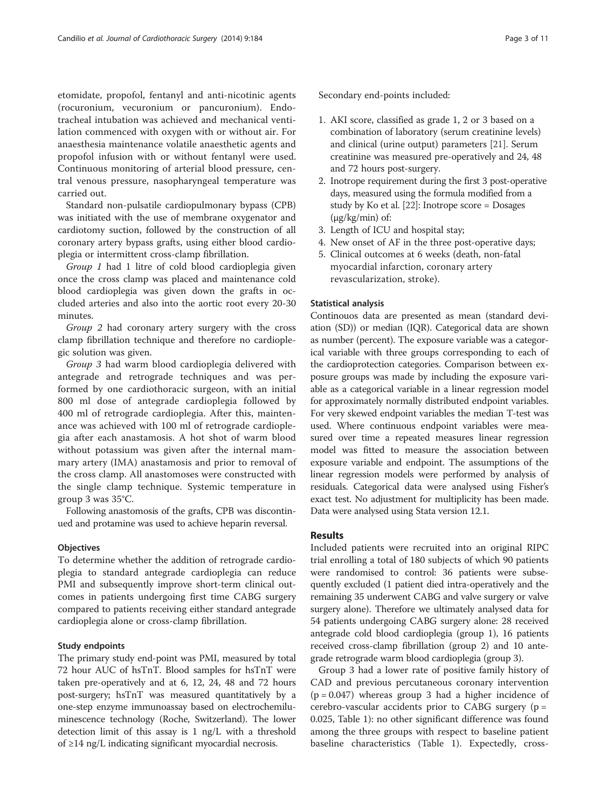etomidate, propofol, fentanyl and anti-nicotinic agents (rocuronium, vecuronium or pancuronium). Endotracheal intubation was achieved and mechanical ventilation commenced with oxygen with or without air. For anaesthesia maintenance volatile anaesthetic agents and propofol infusion with or without fentanyl were used. Continuous monitoring of arterial blood pressure, central venous pressure, nasopharyngeal temperature was carried out.

Standard non-pulsatile cardiopulmonary bypass (CPB) was initiated with the use of membrane oxygenator and cardiotomy suction, followed by the construction of all coronary artery bypass grafts, using either blood cardioplegia or intermittent cross-clamp fibrillation.

Group 1 had 1 litre of cold blood cardioplegia given once the cross clamp was placed and maintenance cold blood cardioplegia was given down the grafts in occluded arteries and also into the aortic root every 20-30 minutes.

Group 2 had coronary artery surgery with the cross clamp fibrillation technique and therefore no cardioplegic solution was given.

Group 3 had warm blood cardioplegia delivered with antegrade and retrograde techniques and was performed by one cardiothoracic surgeon, with an initial 800 ml dose of antegrade cardioplegia followed by 400 ml of retrograde cardioplegia. After this, maintenance was achieved with 100 ml of retrograde cardioplegia after each anastamosis. A hot shot of warm blood without potassium was given after the internal mammary artery (IMA) anastamosis and prior to removal of the cross clamp. All anastomoses were constructed with the single clamp technique. Systemic temperature in group 3 was 35°C.

Following anastomosis of the grafts, CPB was discontinued and protamine was used to achieve heparin reversal.

#### **Objectives**

To determine whether the addition of retrograde cardioplegia to standard antegrade cardioplegia can reduce PMI and subsequently improve short-term clinical outcomes in patients undergoing first time CABG surgery compared to patients receiving either standard antegrade cardioplegia alone or cross-clamp fibrillation.

#### Study endpoints

The primary study end-point was PMI, measured by total 72 hour AUC of hsTnT. Blood samples for hsTnT were taken pre-operatively and at 6, 12, 24, 48 and 72 hours post-surgery; hsTnT was measured quantitatively by a one-step enzyme immunoassay based on electrochemiluminescence technology (Roche, Switzerland). The lower detection limit of this assay is 1 ng/L with a threshold of ≥14 ng/L indicating significant myocardial necrosis.

Secondary end-points included:

- 1. AKI score, classified as grade 1, 2 or 3 based on a combination of laboratory (serum creatinine levels) and clinical (urine output) parameters [[21\]](#page-9-0). Serum creatinine was measured pre-operatively and 24, 48 and 72 hours post-surgery.
- 2. Inotrope requirement during the first 3 post-operative days, measured using the formula modified from a study by Ko et al. [\[22](#page-9-0)]: Inotrope score = Dosages (μg/kg/min) of:
- 3. Length of ICU and hospital stay;
- 4. New onset of AF in the three post-operative days;
- 5. Clinical outcomes at 6 weeks (death, non-fatal myocardial infarction, coronary artery revascularization, stroke).

#### Statistical analysis

Continouos data are presented as mean (standard deviation (SD)) or median (IQR). Categorical data are shown as number (percent). The exposure variable was a categorical variable with three groups corresponding to each of the cardioprotection categories. Comparison between exposure groups was made by including the exposure variable as a categorical variable in a linear regression model for approximately normally distributed endpoint variables. For very skewed endpoint variables the median T-test was used. Where continuous endpoint variables were measured over time a repeated measures linear regression model was fitted to measure the association between exposure variable and endpoint. The assumptions of the linear regression models were performed by analysis of residuals. Categorical data were analysed using Fisher's exact test. No adjustment for multiplicity has been made. Data were analysed using Stata version 12.1.

#### Results

Included patients were recruited into an original RIPC trial enrolling a total of 180 subjects of which 90 patients were randomised to control: 36 patients were subsequently excluded (1 patient died intra-operatively and the remaining 35 underwent CABG and valve surgery or valve surgery alone). Therefore we ultimately analysed data for 54 patients undergoing CABG surgery alone: 28 received antegrade cold blood cardioplegia (group 1), 16 patients received cross-clamp fibrillation (group 2) and 10 antegrade retrograde warm blood cardioplegia (group 3).

Group 3 had a lower rate of positive family history of CAD and previous percutaneous coronary intervention  $(p = 0.047)$  whereas group 3 had a higher incidence of cerebro-vascular accidents prior to CABG surgery (p = 0.025, Table [1](#page-3-0)): no other significant difference was found among the three groups with respect to baseline patient baseline characteristics (Table [1\)](#page-3-0). Expectedly, cross-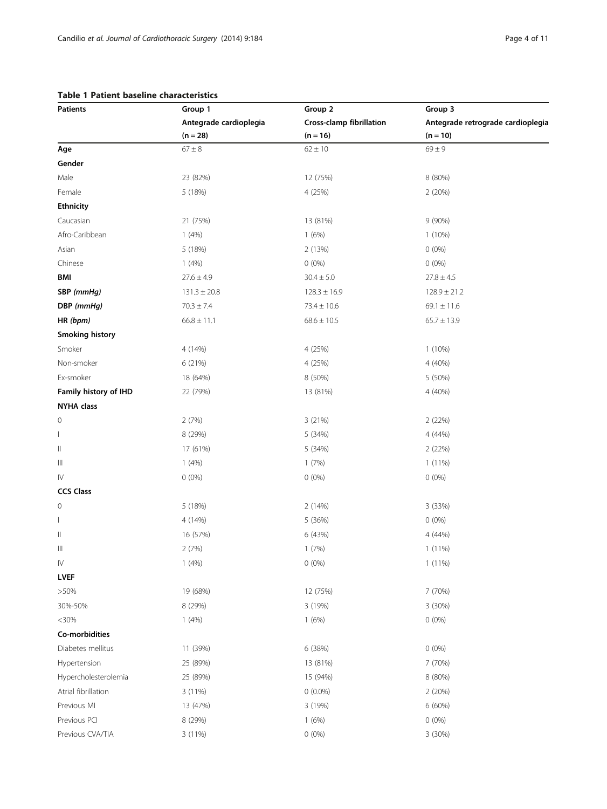## <span id="page-3-0"></span>Table 1 Patient baseline characteristics

| <b>Patients</b>                       | Group 1                | Group 2                  | Group 3<br>Antegrade retrograde cardioplegia<br>$(n = 10)$ |  |  |
|---------------------------------------|------------------------|--------------------------|------------------------------------------------------------|--|--|
|                                       | Antegrade cardioplegia | Cross-clamp fibrillation |                                                            |  |  |
|                                       | $(n = 28)$             | $(n = 16)$               |                                                            |  |  |
| Age                                   | $67\pm8$               | $62 \pm 10$              | $69 \pm 9$                                                 |  |  |
| Gender                                |                        |                          |                                                            |  |  |
| Male                                  | 23 (82%)               | 12 (75%)                 | 8 (80%)                                                    |  |  |
| Female                                | 5 (18%)                | 4 (25%)                  | 2(20%)                                                     |  |  |
| <b>Ethnicity</b>                      |                        |                          |                                                            |  |  |
| Caucasian                             | 21 (75%)               | 13 (81%)                 | $9(90\%)$                                                  |  |  |
| Afro-Caribbean                        | 1(4%)                  | 1(6%)                    | $1(10\%)$                                                  |  |  |
| Asian                                 | 5 (18%)                | 2 (13%)                  | $0(0\%)$                                                   |  |  |
| Chinese                               | 1(4%)                  | $0(0\%)$                 | $0(0\%)$                                                   |  |  |
| BMI                                   | $27.6 \pm 4.9$         | $30.4 \pm 5.0$           | $27.8 \pm 4.5$                                             |  |  |
| SBP (mmHg)                            | $131.3 \pm 20.8$       | $128.3 \pm 16.9$         | $128.9 \pm 21.2$                                           |  |  |
| DBP (mmHg)                            | $70.3 \pm 7.4$         | $73.4 \pm 10.6$          | $69.1 \pm 11.6$                                            |  |  |
| HR (bpm)                              | $66.8 \pm 11.1$        | $68.6 \pm 10.5$          | $65.7 \pm 13.9$                                            |  |  |
| <b>Smoking history</b>                |                        |                          |                                                            |  |  |
| Smoker                                | 4 (14%)                | 4 (25%)                  | $1(10\%)$                                                  |  |  |
| Non-smoker                            | 6 (21%)                | 4 (25%)                  | 4 (40%)                                                    |  |  |
| Ex-smoker                             | 18 (64%)               | 8 (50%)                  | 5 (50%)                                                    |  |  |
| Family history of IHD                 | 22 (79%)               | 13 (81%)                 | 4 (40%)                                                    |  |  |
| <b>NYHA class</b>                     |                        |                          |                                                            |  |  |
| $\circ$                               | 2(7%)                  | 3(21%)                   | 2(22%)                                                     |  |  |
|                                       | 8 (29%)                | 5 (34%)                  | 4 (44%)                                                    |  |  |
| Ш                                     | 17 (61%)               | 5 (34%)                  | 2 (22%)                                                    |  |  |
| $\begin{array}{c} \hline \end{array}$ | 1(4%)                  | 1(7%)                    | $1(11\%)$                                                  |  |  |
| IV                                    | $0(0\%)$               | $0(0\%)$                 | $0(0\%)$                                                   |  |  |
| <b>CCS Class</b>                      |                        |                          |                                                            |  |  |
| $\circ$                               | 5 (18%)                | 2(14%)                   | 3 (33%)                                                    |  |  |
|                                       | 4 (14%)                | 5 (36%)                  | $0(0\%)$                                                   |  |  |
| Ш                                     | 16 (57%)               | 6 (43%)                  | 4 (44%)                                                    |  |  |
| Ш                                     | 2(7%)                  | 1(7%)                    | $1(11\%)$                                                  |  |  |
| ${\sf IV}$                            | 1(4%)                  | $0(0\%)$                 | $1(11\%)$                                                  |  |  |
| <b>LVEF</b>                           |                        |                          |                                                            |  |  |
| >50%                                  | 19 (68%)               | 12 (75%)                 | 7 (70%)                                                    |  |  |
| 30%-50%                               | 8 (29%)                | 3 (19%)                  | 3 (30%)                                                    |  |  |
| $<$ 30%                               | 1(4%)                  | 1(6%)                    | $0(0\%)$                                                   |  |  |
| Co-morbidities                        |                        |                          |                                                            |  |  |
| Diabetes mellitus                     | 11 (39%)               | 6 (38%)                  | $0(0\%)$                                                   |  |  |
| Hypertension                          | 25 (89%)               | 13 (81%)                 | 7 (70%)                                                    |  |  |
| Hypercholesterolemia                  | 25 (89%)               | 15 (94%)                 | 8 (80%)                                                    |  |  |
| Atrial fibrillation                   | 3(11%)                 | $0(0.0\%)$               | 2(20%)                                                     |  |  |
| Previous MI                           | 13 (47%)               | 3 (19%)                  | 6 (60%)                                                    |  |  |
| Previous PCI                          | 8 (29%)                | 1(6%)                    | $0(0\%)$                                                   |  |  |
| Previous CVA/TIA                      | 3 (11%)                | $0(0\%)$                 | 3 (30%)                                                    |  |  |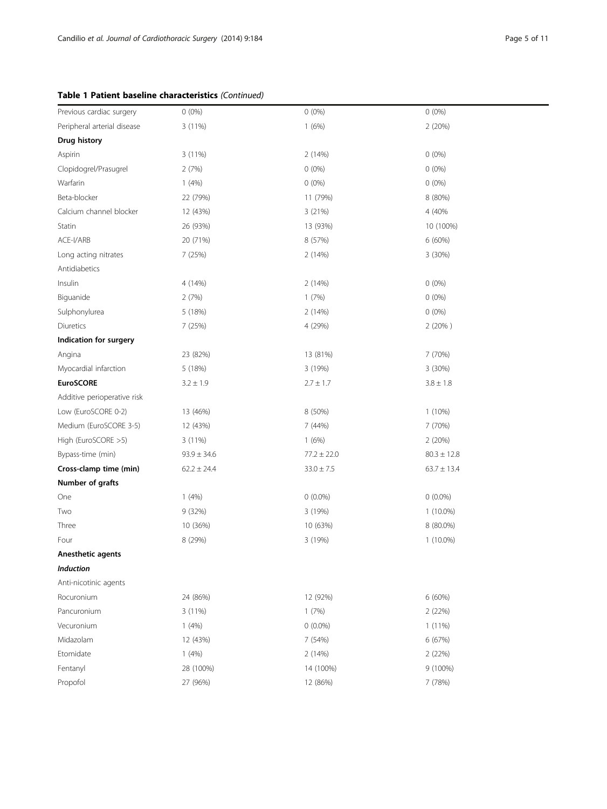#### Table 1 Patient baseline characteristics (Continued)

| Previous cardiac surgery    | $0(0\%)$        | $0(0\%)$        | $0(0\%)$        |
|-----------------------------|-----------------|-----------------|-----------------|
| Peripheral arterial disease | 3 (11%)         | 1(6%)           | 2 (20%)         |
| Drug history                |                 |                 |                 |
| Aspirin                     | 3 (11%)         | 2(14%)          | $0(0\%)$        |
| Clopidogrel/Prasugrel       | 2(7%)           | $0(0\%)$        | $0(0\%)$        |
| Warfarin                    | 1(4%)           | $0(0\%)$        | $0(0\%)$        |
| Beta-blocker                | 22 (79%)        | 11 (79%)        | 8 (80%)         |
| Calcium channel blocker     | 12 (43%)        | 3 (21%)         | 4 (40%          |
| Statin                      | 26 (93%)        | 13 (93%)        | 10 (100%)       |
| ACE-I/ARB                   | 20 (71%)        | 8 (57%)         | 6 (60%)         |
| Long acting nitrates        | 7 (25%)         | 2(14%)          | 3 (30%)         |
| Antidiabetics               |                 |                 |                 |
| Insulin                     | 4 (14%)         | 2 (14%)         | $0(0\%)$        |
| Biguanide                   | 2(7%)           | 1(7%)           | $0(0\%)$        |
| Sulphonylurea               | 5 (18%)         | 2(14%)          | $0(0\%)$        |
| Diuretics                   | 7 (25%)         | 4 (29%)         | 2(20% )         |
| Indication for surgery      |                 |                 |                 |
| Angina                      | 23 (82%)        | 13 (81%)        | 7 (70%)         |
| Myocardial infarction       | 5 (18%)         | 3 (19%)         | 3 (30%)         |
| <b>EuroSCORE</b>            | $3.2 \pm 1.9$   | $2.7 \pm 1.7$   | $3.8\pm1.8$     |
| Additive perioperative risk |                 |                 |                 |
| Low (EuroSCORE 0-2)         | 13 (46%)        | 8 (50%)         | $1(10\%)$       |
| Medium (EuroSCORE 3-5)      | 12 (43%)        | 7 (44%)         | 7 (70%)         |
| High (EuroSCORE > 5)        | 3 (11%)         | 1(6%)           | 2 (20%)         |
| Bypass-time (min)           | $93.9 \pm 34.6$ | $77.2 \pm 22.0$ | $80.3 \pm 12.8$ |
| Cross-clamp time (min)      | $62.2 \pm 24.4$ | $33.0 \pm 7.5$  | $63.7 \pm 13.4$ |
| Number of grafts            |                 |                 |                 |
| One                         | 1(4%)           | $0(0.0\%)$      | $0(0.0\%)$      |
| Two                         | 9 (32%)         | 3 (19%)         | $1(10.0\%)$     |
| Three                       | 10 (36%)        | 10 (63%)        | 8 (80.0%)       |
| Four                        | 8 (29%)         | 3 (19%)         | $1(10.0\%)$     |
| Anesthetic agents           |                 |                 |                 |
| <b>Induction</b>            |                 |                 |                 |
| Anti-nicotinic agents       |                 |                 |                 |
| Rocuronium                  | 24 (86%)        | 12 (92%)        | 6 (60%)         |
| Pancuronium                 | 3(11%)          | 1(7%)           | 2(22%)          |
| Vecuronium                  | 1(4%)           | $0(0.0\%)$      | $1(11\%)$       |
| Midazolam                   | 12 (43%)        | 7 (54%)         | 6 (67%)         |
| Etomidate                   | 1(4%)           | 2(14%)          | 2(22%)          |
| Fentanyl                    | 28 (100%)       | 14 (100%)       | 9 (100%)        |
| Propofol                    | 27 (96%)        | 12 (86%)        | 7 (78%)         |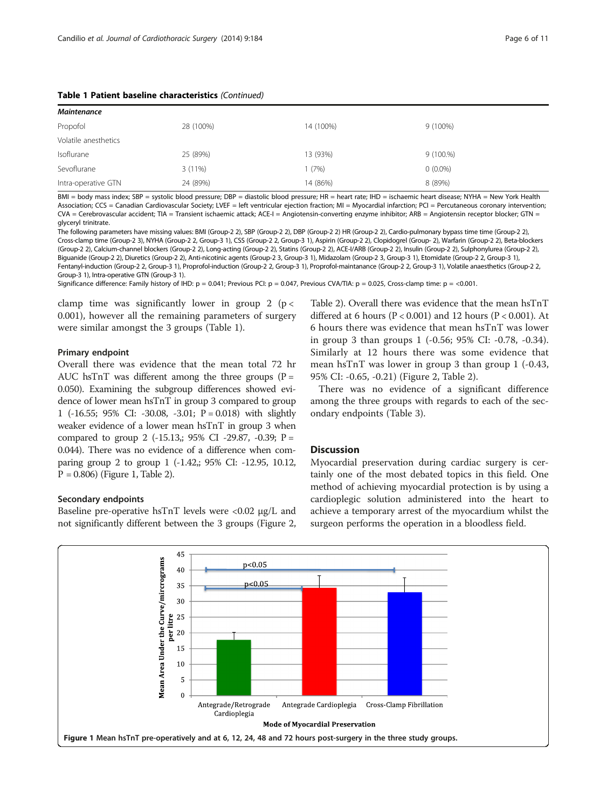| <b>Maintenance</b>   |           |           |            |
|----------------------|-----------|-----------|------------|
| Propofol             | 28 (100%) | 14 (100%) | $9(100\%)$ |
| Volatile anesthetics |           |           |            |
| Isoflurane           | 25 (89%)  | 13 (93%)  | 9(100.%)   |
| Sevoflurane          | $3(11\%)$ | 1 (7%)    | $0(0.0\%)$ |
| Intra-operative GTN  | 24 (89%)  | 14 (86%)  | 8 (89%)    |

BMI = body mass index; SBP = systolic blood pressure; DBP = diastolic blood pressure; HR = heart rate; IHD = ischaemic heart disease; NYHA = New York Health Association; CCS = Canadian Cardiovascular Society; LVEF = left ventricular ejection fraction; MI = Myocardial infarction; PCI = Percutaneous coronary intervention; CVA = Cerebrovascular accident; TIA = Transient ischaemic attack; ACE-I = Angiotensin-converting enzyme inhibitor; ARB = Angiotensin receptor blocker; GTN = glyceryl trinitrate.

The following parameters have missing values: BMI (Group-2 2), SBP (Group-2 2), DBP (Group-2 2) HR (Group-2 2), Cardio-pulmonary bypass time time (Group-2 2), Cross-clamp time (Group-2 3), NYHA (Group-2 2, Group-3 1), CSS (Group-2 2, Group-3 1), Aspirin (Group-2 2), Clopidogrel (Group- 2), Warfarin (Group-2 2), Beta-blockers (Group-2 2), Calcium-channel blockers (Group-2 2), Long-acting (Group-2 2), Statins (Group-2 2), ACE-I/ARB (Group-2 2), Insulin (Group-2 2), Sulphonylurea (Group-2 2), Biguanide (Group-2 2), Diuretics (Group-2 2), Anti-nicotinic agents (Group-2 3, Group-3 1), Midazolam (Group-2 3, Group-3 1), Etomidate (Group-2 2, Group-3 1), Fentanyl-induction (Group-2 2, Group-3 1), Proprofol-induction (Group-2 2, Group-3 1), Proprofol-maintanance (Group-2 2, Group-3 1), Volatile anaesthetics (Group-2 2, Group-3 1), Intra-operative GTN (Group-3 1).

Significance difference: Family history of IHD: p = 0.041; Previous PCI: p = 0.047, Previous CVA/TIA: p = 0.025, Cross-clamp time: p = <0.001.

clamp time was significantly lower in group 2 ( $p <$ 0.001), however all the remaining parameters of surgery were similar amongst the 3 groups (Table [1\)](#page-3-0).

#### Primary endpoint

Overall there was evidence that the mean total 72 hr AUC hsTnT was different among the three groups  $(P =$ 0.050). Examining the subgroup differences showed evidence of lower mean hsTnT in group 3 compared to group 1 (-16.55; 95% CI: -30.08, -3.01; P = 0.018) with slightly weaker evidence of a lower mean hsTnT in group 3 when compared to group 2  $(-15.13)$ ; 95% CI -29.87, -0.39; P = 0.044). There was no evidence of a difference when comparing group 2 to group 1 (-1.42,; 95% CI: -12.95, 10.12,  $P = 0.806$ ) (Figure 1, Table [2](#page-6-0)).

#### Secondary endpoints

Baseline pre-operative hsTnT levels were <0.02 μg/L and not significantly different between the 3 groups (Figure [2](#page-7-0),

Table [2](#page-6-0)). Overall there was evidence that the mean hsTnT differed at 6 hours ( $P < 0.001$ ) and 12 hours ( $P < 0.001$ ). At 6 hours there was evidence that mean hsTnT was lower in group 3 than groups 1 (-0.56; 95% CI: -0.78, -0.34). Similarly at 12 hours there was some evidence that mean hsTnT was lower in group 3 than group 1 (-0.43, 95% CI: -0.65, -0.21) (Figure [2](#page-7-0), Table [2\)](#page-6-0).

There was no evidence of a significant difference among the three groups with regards to each of the secondary endpoints (Table [3](#page-8-0)).

#### **Discussion**

Myocardial preservation during cardiac surgery is certainly one of the most debated topics in this field. One method of achieving myocardial protection is by using a cardioplegic solution administered into the heart to achieve a temporary arrest of the myocardium whilst the surgeon performs the operation in a bloodless field.

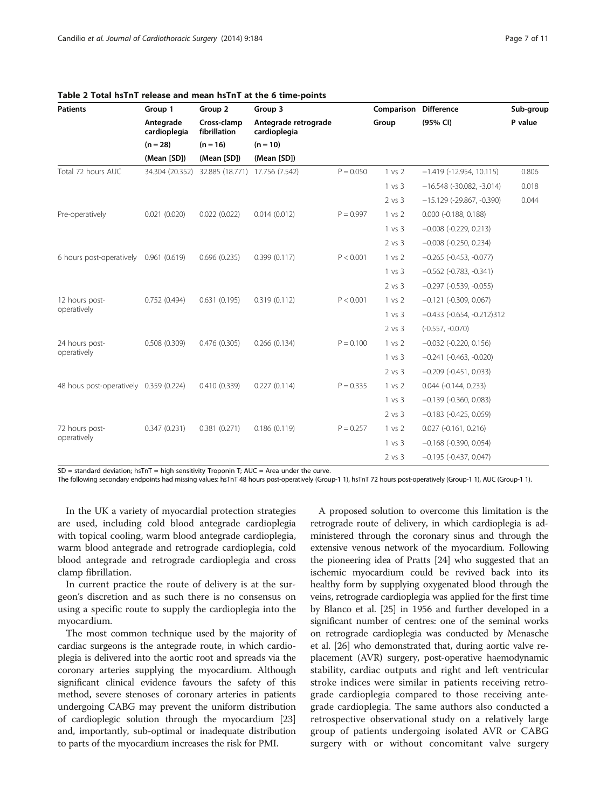| <b>Patients</b>                        | Group 1                   | Group 2                     | Group 3                              |             | <b>Comparison Difference</b> | (95% CI)                            | Sub-group<br>P value |
|----------------------------------------|---------------------------|-----------------------------|--------------------------------------|-------------|------------------------------|-------------------------------------|----------------------|
|                                        | Antegrade<br>cardioplegia | Cross-clamp<br>fibrillation | Antegrade retrograde<br>cardioplegia | Group       |                              |                                     |                      |
|                                        | $(n = 28)$                | $(n = 16)$                  | $(n = 10)$                           |             |                              |                                     |                      |
|                                        | (Mean [SD])               | (Mean [SD])                 | (Mean [SD])                          |             |                              |                                     |                      |
| Total 72 hours AUC                     | 34.304 (20.352)           | 32.885 (18.771)             | 17.756 (7.542)                       | $P = 0.050$ | 1 vs 2                       | $-1.419$ (-12.954, 10.115)          | 0.806                |
|                                        |                           |                             |                                      |             | 1 vs 3                       | $-16.548$ (-30.082, -3.014)         | 0.018                |
|                                        |                           |                             |                                      |             | 2 vs 3                       | $-15.129$ (-29.867, -0.390)         | 0.044                |
| Pre-operatively                        | 0.021(0.020)              | 0.022(0.022)                | 0.014(0.012)                         | $P = 0.997$ | 1 vs 2                       | $0.000$ (-0.188, 0.188)             |                      |
|                                        |                           |                             |                                      |             | 1 vs 3                       | $-0.008$ ( $-0.229$ , 0.213)        |                      |
|                                        |                           |                             |                                      |             | 2 vs 3                       | $-0.008$ (-0.250, 0.234)            |                      |
| 6 hours post-operatively 0.961 (0.619) |                           | 0.696(0.235)                | 0.399(0.117)                         | P < 0.001   | 1 vs 2                       | $-0.265$ ( $-0.453$ , $-0.077$ )    |                      |
|                                        |                           |                             |                                      |             | 1 vs 3                       | $-0.562$ ( $-0.783$ , $-0.341$ )    |                      |
|                                        |                           |                             |                                      |             | 2 vs 3                       | $-0.297$ ( $-0.539$ , $-0.055$ )    |                      |
| 12 hours post-<br>operatively          | 0.752(0.494)              | 0.631(0.195)                | 0.319(0.112)                         | P < 0.001   | 1 vs 2                       | $-0.121$ ( $-0.309$ , $0.067$ )     |                      |
|                                        |                           |                             |                                      |             | 1 vs 3                       | $-0.433$ ( $-0.654$ , $-0.212$ )312 |                      |
|                                        |                           |                             |                                      |             | 2 vs 3                       | $(-0.557, -0.070)$                  |                      |
| 24 hours post-                         | 0.508(0.309)              | 0.476(0.305)                | 0.266(0.134)                         | $P = 0.100$ | 1 vs 2                       | $-0.032$ (-0.220, 0.156)            |                      |
| operatively                            |                           |                             |                                      |             | 1 vs 3                       | $-0.241$ $(-0.463, -0.020)$         |                      |
|                                        |                           |                             |                                      |             | 2 vs 3                       | $-0.209$ $(-0.451, 0.033)$          |                      |
| 48 hous post-operatively 0.359 (0.224) |                           | 0.410(0.339)                | 0.227(0.114)                         | $P = 0.335$ | 1 vs 2                       | $0.044$ (-0.144, 0.233)             |                      |
|                                        |                           |                             |                                      |             | 1 vs 3                       | $-0.139$ ( $-0.360$ , $0.083$ )     |                      |
|                                        |                           |                             |                                      |             | 2 vs 3                       | $-0.183$ $(-0.425, 0.059)$          |                      |
| 72 hours post-                         | 0.347(0.231)              | 0.381(0.271)                | 0.186(0.119)                         | $P = 0.257$ | 1 vs 2                       | $0.027$ (-0.161, 0.216)             |                      |
| operatively                            |                           |                             |                                      |             | 1 vs 3                       | $-0.168$ ( $-0.390$ , 0.054)        |                      |
|                                        |                           |                             |                                      |             | 2 vs 3                       | $-0.195$ ( $-0.437$ , $0.047$ )     |                      |

<span id="page-6-0"></span>Table 2 Total hsTnT release and mean hsTnT at the 6 time-points

 $SD =$  standard deviation; hsTnT = high sensitivity Troponin T; AUC = Area under the curve.

The following secondary endpoints had missing values: hsTnT 48 hours post-operatively (Group-1 1), hsTnT 72 hours post-operatively (Group-1 1), AUC (Group-1 1).

In the UK a variety of myocardial protection strategies are used, including cold blood antegrade cardioplegia with topical cooling, warm blood antegrade cardioplegia, warm blood antegrade and retrograde cardioplegia, cold blood antegrade and retrograde cardioplegia and cross clamp fibrillation.

In current practice the route of delivery is at the surgeon's discretion and as such there is no consensus on using a specific route to supply the cardioplegia into the myocardium.

The most common technique used by the majority of cardiac surgeons is the antegrade route, in which cardioplegia is delivered into the aortic root and spreads via the coronary arteries supplying the myocardium. Although significant clinical evidence favours the safety of this method, severe stenoses of coronary arteries in patients undergoing CABG may prevent the uniform distribution of cardioplegic solution through the myocardium [[23](#page-9-0)] and, importantly, sub-optimal or inadequate distribution to parts of the myocardium increases the risk for PMI.

A proposed solution to overcome this limitation is the retrograde route of delivery, in which cardioplegia is administered through the coronary sinus and through the extensive venous network of the myocardium. Following the pioneering idea of Pratts [\[24](#page-9-0)] who suggested that an ischemic myocardium could be revived back into its healthy form by supplying oxygenated blood through the veins, retrograde cardioplegia was applied for the first time by Blanco et al. [\[25\]](#page-9-0) in 1956 and further developed in a significant number of centres: one of the seminal works on retrograde cardioplegia was conducted by Menasche et al. [\[26\]](#page-10-0) who demonstrated that, during aortic valve replacement (AVR) surgery, post-operative haemodynamic stability, cardiac outputs and right and left ventricular stroke indices were similar in patients receiving retrograde cardioplegia compared to those receiving antegrade cardioplegia. The same authors also conducted a retrospective observational study on a relatively large group of patients undergoing isolated AVR or CABG surgery with or without concomitant valve surgery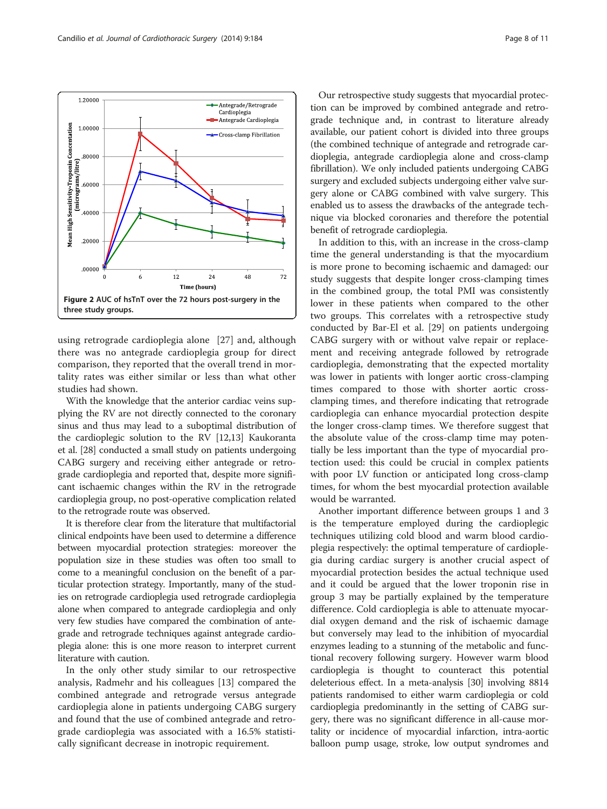<span id="page-7-0"></span>

using retrograde cardioplegia alone [[27](#page-10-0)] and, although there was no antegrade cardioplegia group for direct comparison, they reported that the overall trend in mortality rates was either similar or less than what other studies had shown.

With the knowledge that the anterior cardiac veins supplying the RV are not directly connected to the coronary sinus and thus may lead to a suboptimal distribution of the cardioplegic solution to the RV [[12,13](#page-9-0)] Kaukoranta et al. [[28](#page-10-0)] conducted a small study on patients undergoing CABG surgery and receiving either antegrade or retrograde cardioplegia and reported that, despite more significant ischaemic changes within the RV in the retrograde cardioplegia group, no post-operative complication related to the retrograde route was observed.

It is therefore clear from the literature that multifactorial clinical endpoints have been used to determine a difference between myocardial protection strategies: moreover the population size in these studies was often too small to come to a meaningful conclusion on the benefit of a particular protection strategy. Importantly, many of the studies on retrograde cardioplegia used retrograde cardioplegia alone when compared to antegrade cardioplegia and only very few studies have compared the combination of antegrade and retrograde techniques against antegrade cardioplegia alone: this is one more reason to interpret current literature with caution.

In the only other study similar to our retrospective analysis, Radmehr and his colleagues [[13\]](#page-9-0) compared the combined antegrade and retrograde versus antegrade cardioplegia alone in patients undergoing CABG surgery and found that the use of combined antegrade and retrograde cardioplegia was associated with a 16.5% statistically significant decrease in inotropic requirement.

Our retrospective study suggests that myocardial protection can be improved by combined antegrade and retrograde technique and, in contrast to literature already available, our patient cohort is divided into three groups (the combined technique of antegrade and retrograde cardioplegia, antegrade cardioplegia alone and cross-clamp fibrillation). We only included patients undergoing CABG surgery and excluded subjects undergoing either valve surgery alone or CABG combined with valve surgery. This enabled us to assess the drawbacks of the antegrade technique via blocked coronaries and therefore the potential benefit of retrograde cardioplegia.

In addition to this, with an increase in the cross-clamp time the general understanding is that the myocardium is more prone to becoming ischaemic and damaged: our study suggests that despite longer cross-clamping times in the combined group, the total PMI was consistently lower in these patients when compared to the other two groups. This correlates with a retrospective study conducted by Bar-El et al. [\[29](#page-10-0)] on patients undergoing CABG surgery with or without valve repair or replacement and receiving antegrade followed by retrograde cardioplegia, demonstrating that the expected mortality was lower in patients with longer aortic cross-clamping times compared to those with shorter aortic crossclamping times, and therefore indicating that retrograde cardioplegia can enhance myocardial protection despite the longer cross-clamp times. We therefore suggest that the absolute value of the cross-clamp time may potentially be less important than the type of myocardial protection used: this could be crucial in complex patients with poor LV function or anticipated long cross-clamp times, for whom the best myocardial protection available would be warranted.

Another important difference between groups 1 and 3 is the temperature employed during the cardioplegic techniques utilizing cold blood and warm blood cardioplegia respectively: the optimal temperature of cardioplegia during cardiac surgery is another crucial aspect of myocardial protection besides the actual technique used and it could be argued that the lower troponin rise in group 3 may be partially explained by the temperature difference. Cold cardioplegia is able to attenuate myocardial oxygen demand and the risk of ischaemic damage but conversely may lead to the inhibition of myocardial enzymes leading to a stunning of the metabolic and functional recovery following surgery. However warm blood cardioplegia is thought to counteract this potential deleterious effect. In a meta-analysis [\[30\]](#page-10-0) involving 8814 patients randomised to either warm cardioplegia or cold cardioplegia predominantly in the setting of CABG surgery, there was no significant difference in all-cause mortality or incidence of myocardial infarction, intra-aortic balloon pump usage, stroke, low output syndromes and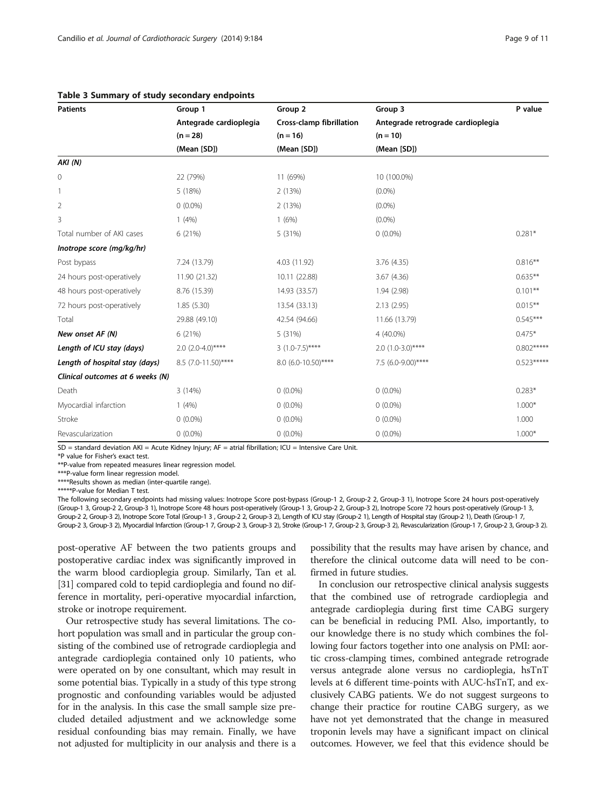| <b>Patients</b>                  | Group 1                | Group 2                         | Group 3                           | P value    |
|----------------------------------|------------------------|---------------------------------|-----------------------------------|------------|
|                                  | Antegrade cardioplegia | <b>Cross-clamp fibrillation</b> | Antegrade retrograde cardioplegia |            |
|                                  | $(n = 28)$             | $(n = 16)$                      | $(n = 10)$                        |            |
|                                  | (Mean [SD])            | (Mean [SD])                     | (Mean [SD])                       |            |
| AKI(N)                           |                        |                                 |                                   |            |
| 0                                | 22 (79%)               | 11 (69%)                        | 10 (100.0%)                       |            |
| 1                                | 5 (18%)                | 2 (13%)                         | $(0.0\%)$                         |            |
| 2                                | $0(0.0\%)$             | 2 (13%)                         | $(0.0\%)$                         |            |
| 3                                | 1(4%)                  | 1(6%)                           | $(0.0\%)$                         |            |
| Total number of AKI cases        | 6 (21%)                | 5 (31%)                         | $0(0.0\%)$                        | $0.281*$   |
| Inotrope score (mg/kg/hr)        |                        |                                 |                                   |            |
| Post bypass                      | 7.24 (13.79)           | 4.03 (11.92)                    | 3.76 (4.35)                       | $0.816**$  |
| 24 hours post-operatively        | 11.90 (21.32)          | 10.11 (22.88)                   | 3.67 (4.36)                       | $0.635***$ |
| 48 hours post-operatively        | 8.76 (15.39)           | 14.93 (33.57)                   | 1.94(2.98)                        | $0.101***$ |
| 72 hours post-operatively        | 1.85(5.30)             | 13.54 (33.13)                   | 2.13(2.95)                        | $0.015***$ |
| Total                            | 29.88 (49.10)          | 42.54 (94.66)                   | 11.66 (13.79)                     | $0.545***$ |
| New onset AF (N)                 | 6 (21%)                | 5 (31%)                         | 4 (40.0%)                         | $0.475*$   |
| Length of ICU stay (days)        | $2.0$ (2.0-4.0)****    | $3(1.0-7.5)***$                 | $2.0$ (1.0-3.0)****               | $0.802***$ |
| Length of hospital stay (days)   | 8.5 (7.0-11.50)****    | 8.0 (6.0-10.50)****             | 7.5 (6.0-9.00)****                | $0.523***$ |
| Clinical outcomes at 6 weeks (N) |                        |                                 |                                   |            |
| Death                            | 3 (14%)                | $0(0.0\%)$                      | $0(0.0\%)$                        | $0.283*$   |
| Myocardial infarction            | 1(4%)                  | $0(0.0\%)$                      | $0(0.0\%)$                        | $1.000*$   |
| Stroke                           | $0(0.0\%)$             | $0(0.0\%)$                      | $0(0.0\%)$                        | 1.000      |
| Revascularization                | $0(0.0\%)$             | $0(0.0\%)$                      | $0(0.0\%)$                        | $1.000*$   |

#### <span id="page-8-0"></span>Table 3 Summary of study secondary endpoints

 $SD =$  standard deviation AKI = Acute Kidney Injury;  $AF =$  atrial fibrillation; ICU = Intensive Care Unit.

\*P value for Fisher's exact test.

\*\*P-value from repeated measures linear regression model.

\*\*\*P-value form linear regression model.

\*\*\*\*Results shown as median (inter-quartile range).

\*\*\*\*\*P-value for Median T test.

The following secondary endpoints had missing values: Inotrope Score post-bypass (Group-1 2, Group-2 2, Group-3 1), Inotrope Score 24 hours post-operatively (Group-1 3, Group-2 2, Group-3 1), Inotrope Score 48 hours post-operatively (Group-1 3, Group-2 2, Group-3 2), Inotrope Score 72 hours post-operatively (Group-1 3, Group-2 2, Group-3 2), Inotrope Score Total (Group-1 3, Group-2 2, Group-3 2), Length of ICU stay (Group-2 1), Length of Hospital stay (Group-2 1), Death (Group-1 7, Group-2 3, Group-3 2), Myocardial Infarction (Group-1 7, Group-2 3, Group-3 2), Stroke (Group-1 7, Group-2 3, Group-3 2), Revascularization (Group-1 7, Group-2 3, Group-3 2).

post-operative AF between the two patients groups and postoperative cardiac index was significantly improved in the warm blood cardioplegia group. Similarly, Tan et al. [[31](#page-10-0)] compared cold to tepid cardioplegia and found no difference in mortality, peri-operative myocardial infarction, stroke or inotrope requirement.

Our retrospective study has several limitations. The cohort population was small and in particular the group consisting of the combined use of retrograde cardioplegia and antegrade cardioplegia contained only 10 patients, who were operated on by one consultant, which may result in some potential bias. Typically in a study of this type strong prognostic and confounding variables would be adjusted for in the analysis. In this case the small sample size precluded detailed adjustment and we acknowledge some residual confounding bias may remain. Finally, we have not adjusted for multiplicity in our analysis and there is a

possibility that the results may have arisen by chance, and therefore the clinical outcome data will need to be confirmed in future studies.

In conclusion our retrospective clinical analysis suggests that the combined use of retrograde cardioplegia and antegrade cardioplegia during first time CABG surgery can be beneficial in reducing PMI. Also, importantly, to our knowledge there is no study which combines the following four factors together into one analysis on PMI: aortic cross-clamping times, combined antegrade retrograde versus antegrade alone versus no cardioplegia, hsTnT levels at 6 different time-points with AUC-hsTnT, and exclusively CABG patients. We do not suggest surgeons to change their practice for routine CABG surgery, as we have not yet demonstrated that the change in measured troponin levels may have a significant impact on clinical outcomes. However, we feel that this evidence should be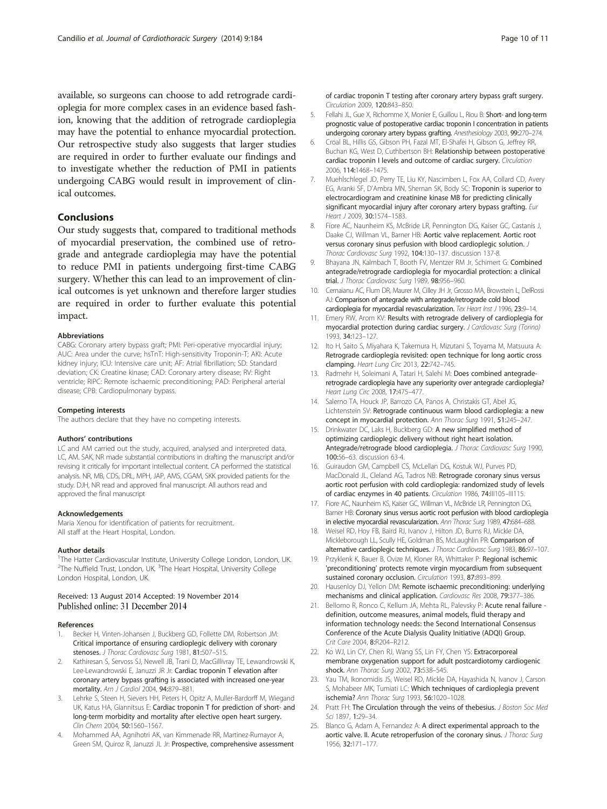<span id="page-9-0"></span>available, so surgeons can choose to add retrograde cardioplegia for more complex cases in an evidence based fashion, knowing that the addition of retrograde cardioplegia may have the potential to enhance myocardial protection. Our retrospective study also suggests that larger studies are required in order to further evaluate our findings and to investigate whether the reduction of PMI in patients undergoing CABG would result in improvement of clinical outcomes.

## Conclusions

Our study suggests that, compared to traditional methods of myocardial preservation, the combined use of retrograde and antegrade cardioplegia may have the potential to reduce PMI in patients undergoing first-time CABG surgery. Whether this can lead to an improvement of clinical outcomes is yet unknown and therefore larger studies are required in order to further evaluate this potential impact.

#### Abbreviations

CABG: Coronary artery bypass graft; PMI: Peri-operative myocardial injury; AUC: Area under the curve; hsTnT: High-sensitivity Troponin-T; AKI: Acute kidney injury; ICU: Intensive care unit; AF: Atrial fibrillation; SD: Standard deviation; CK: Creatine kinase; CAD: Coronary artery disease; RV: Right ventricle; RIPC: Remote ischaemic preconditioning; PAD: Peripheral arterial disease; CPB: Cardiopulmonary bypass.

#### Competing interests

The authors declare that they have no competing interests.

#### Authors' contributions

LC and AM carried out the study, acquired, analysed and interpreted data. LC, AM. SAK, NR made substantial contributions in drafting the manuscript and/or revising it critically for important intellectual content. CA performed the statistical analysis. NR, MB, CDS, DRL, MPH, JAP, AMS, CGAM, SKK provided patients for the study. DJH, NR read and approved final manuscript. All authors read and approved the final manuscript

#### Acknowledgements

Maria Xenou for identification of patients for recruitment. All staff at the Heart Hospital, London.

#### Author details

<sup>1</sup>The Hatter Cardiovascular Institute, University College London, London, UK. <sup>2</sup>The Nuffield Trust, London, UK. <sup>3</sup>The Heart Hospital, University College London Hospital, London, UK.

#### Received: 13 August 2014 Accepted: 19 November 2014 Published online: 31 December 2014

#### References

- 1. Becker H, Vinten-Johansen J, Buckberg GD, Follette DM, Robertson JM: Critical importance of ensuring cardioplegic delivery with coronary stenoses. J Thorac Cardiovasc Surg 1981, 81:507-515.
- 2. Kathiresan S, Servoss SJ, Newell JB, Trani D, MacGillivray TE, Lewandrowski K, Lee-Lewandrowski E, Januzzi JR Jr: Cardiac troponin T elevation after coronary artery bypass grafting is associated with increased one-year mortality. Am J Cardiol 2004, 94:879–881.
- Lehrke S, Steen H, Sievers HH, Peters H, Opitz A, Muller-Bardorff M, Wiegand UK, Katus HA, Giannitsus E: Cardiac troponin T for prediction of short- and long-term morbidity and mortality after elective open heart surgery. Clin Chem 2004, 50:1560–1567.
- 4. Mohammed AA, Agnihotri AK, van Kimmenade RR, Martinez-Rumayor A, Green SM, Quiroz R, Januzzi JL Jr: Prospective, comprehensive assessment

of cardiac troponin T testing after coronary artery bypass graft surgery. Circulation 2009, 120:843–850.

- 5. Fellahi JL, Gue X, Richomme X, Monier E, Guillou L, Riou B: Short- and long-term prognostic value of postoperative cardiac troponin I concentration in patients undergoing coronary artery bypass grafting. Anesthesiology 2003, 99:270–274.
- 6. Croal BL, Hillis GS, Gibson PH, Fazal MT, El-Shafei H, Gibson G, Jeffrey RR, Buchan KG, West D, Cuthbertson BH: Relationship between postoperative cardiac troponin I levels and outcome of cardiac surgery. Circulation 2006, 114:1468–1475.
- 7. Muehlschlegel JD, Perry TE, Liu KY, Nascimben L, Fox AA, Collard CD, Avery EG, Aranki SF, D'Ambra MN, Shernan SK, Body SC: Troponin is superior to electrocardiogram and creatinine kinase MB for predicting clinically significant myocardial injury after coronary artery bypass grafting. Eur Heart J 2009, 30:1574–1583.
- 8. Fiore AC, Naunheim KS, McBride LR, Pennington DG, Kaiser GC, Castanis J, Daake CJ, Willman VL, Barner HB: Aortic valve replacement. Aortic root versus coronary sinus perfusion with blood cardioplegic solution. J Thorac Cardiovasc Surg 1992, 104:130-137. discussion 137-8.
- 9. Bhayana JN, Kalmbach T, Booth FV, Mentzer RM Jr, Schimert G: Combined antegrade/retrograde cardioplegia for myocardial protection: a clinical trial. J Thorac Cardiovasc Surg 1989, 98:956-960.
- 10. Cernaianu AC, Flum DR, Maurer M, Cilley JH Jr, Grosso MA, Browstein L, DelRossi AJ: Comparison of antegrade with antegrade/retrograde cold blood cardioplegia for myocardial revascularization. Tex Heart Inst J 1996, 23:9-14.
- 11. Emery RW, Arom KV: Results with retrograde delivery of cardioplegia for myocardial protection during cardiac surgery. J Cardiovasc Surg (Torino) 1993, 34:123–127.
- 12. Ito H, Saito S, Miyahara K, Takemura H, Mizutani S, Toyama M, Matsuura A: Retrograde cardioplegia revisited: open technique for long aortic cross clamping. Heart Lung Circ 2013, 22:742–745.
- 13. Radmehr H, Soleimani A, Tatari H, Salehi M: Does combined antegraderetrograde cardioplegia have any superiority over antegrade cardioplegia? Heart Lung Circ 2008, 17:475–477.
- 14. Salerno TA, Houck JP, Barrozo CA, Panos A, Christakis GT, Abel JG, Lichtenstein SV: Retrograde continuous warm blood cardioplegia: a new concept in myocardial protection. Ann Thorac Surg 1991, 51:245–247.
- 15. Drinkwater DC, Laks H, Buckberg GD: A new simplified method of optimizing cardioplegic delivery without right heart isolation. Antegrade/retrograde blood cardioplegia. J Thorac Cardiovasc Surg 1990, 100:56–63. discussion 63-4.
- 16. Guiraudon GM, Campbell CS, McLellan DG, Kostuk WJ, Purves PD, MacDonald JL, Cleland AG, Tadros NB: Retrograde coronary sinus versus aortic root perfusion with cold cardioplegia: randomized study of levels of cardiac enzymes in 40 patients. Circulation 1986, 74: III105-III115.
- 17. Fiore AC, Naunheim KS, Kaiser GC, Willman VL, McBride LR, Pennington DG, Barner HB: Coronary sinus versus aortic root perfusion with blood cardioplegia in elective myocardial revascularization. Ann Thorac Surg 1989, 47:684–688.
- 18. Weisel RD, Hoy FB, Baird RJ, Ivanov J, Hilton JD, Burns RJ, Mickle DA, Mickleborough LL, Scully HE, Goldman BS, McLaughlin PR: Comparison of alternative cardioplegic techniques. J Thorac Cardiovasc Surg 1983, 86:97-107.
- 19. Przyklenk K, Bauer B, Ovize M, Kloner RA, Whittaker P: Regional ischemic 'preconditioning' protects remote virgin myocardium from subsequent sustained coronary occlusion. Circulation 1993, 87:893–899.
- 20. Hausenloy DJ, Yellon DM: Remote ischaemic preconditioning: underlying mechanisms and clinical application. Cardiovasc Res 2008, 79:377–386.
- 21. Bellomo R, Ronco C, Kellum JA, Mehta RL, Palevsky P: Acute renal failure definition, outcome measures, animal models, fluid therapy and information technology needs: the Second International Consensus Conference of the Acute Dialysis Quality Initiative (ADQI) Group. Crit Care 2004, 8:R204–R212.
- 22. Ko WJ, Lin CY, Chen RJ, Wang SS, Lin FY, Chen YS: Extracorporeal membrane oxygenation support for adult postcardiotomy cardiogenic shock. Ann Thorac Surg 2002, 73:538–545.
- 23. Yau TM, Ikonomidis JS, Weisel RD, Mickle DA, Hayashida N, Ivanov J, Carson S, Mohabeer MK, Tumiati LC: Which techniques of cardioplegia prevent ischemia? Ann Thorac Surg 1993, 56:1020–1028.
- 24. Pratt FH: The Circulation through the veins of thebesius. J Boston Soc Med Sci 1897, 1:29–34.
- 25. Blanco G, Adam A, Fernandez A: A direct experimental approach to the aortic valve. II. Acute retroperfusion of the coronary sinus. J Thorac Surg 1956, 32:171–177.